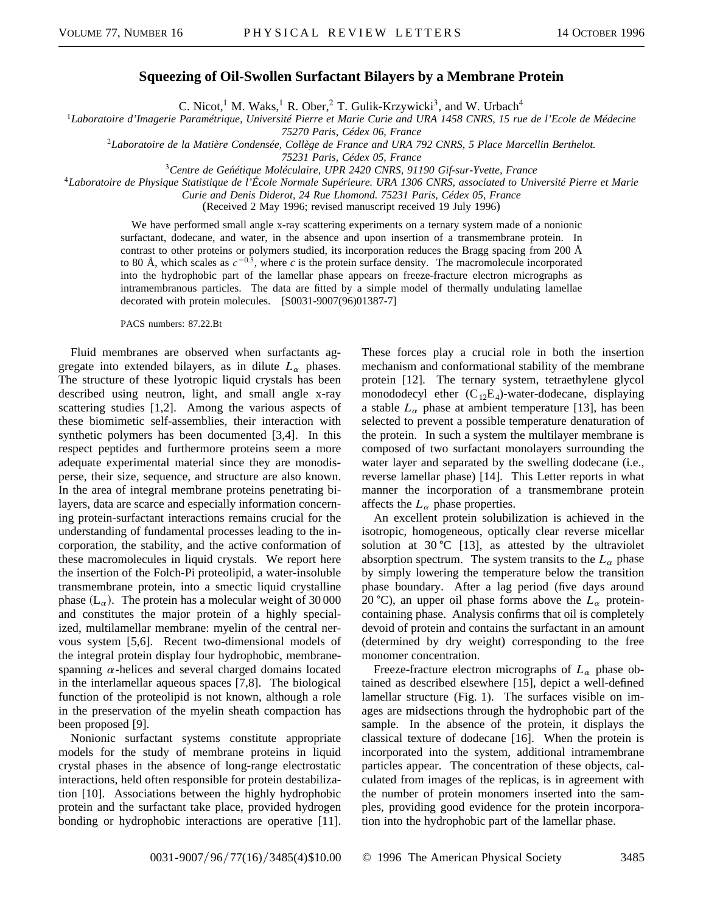## **Squeezing of Oil-Swollen Surfactant Bilayers by a Membrane Protein**

C. Nicot,<sup>1</sup> M. Waks,<sup>1</sup> R. Ober,<sup>2</sup> T. Gulik-Krzywicki<sup>3</sup>, and W. Urbach<sup>4</sup>

<sup>1</sup>*Laboratoire d'Imagerie Paramétrique, Université Pierre et Marie Curie and URA 1458 CNRS, 15 rue de l'Ecole de Médecine*

*75270 Paris, Cédex 06, France*

<sup>2</sup>*Laboratoire de la Matière Condensée, Collège de France and URA 792 CNRS, 5 Place Marcellin Berthelot.*

*75231 Paris, Cédex 05, France*

<sup>3</sup>*Centre de Gen´étique Moléculaire, UPR 2420 CNRS, 91190 Gif-sur-Yvette, France*

<sup>4</sup>*Laboratoire de Physique Statistique de l'École Normale Supérieure. URA 1306 CNRS, associated to Université Pierre et Marie*

*Curie and Denis Diderot, 24 Rue Lhomond. 75231 Paris, Cédex 05, France*

(Received 2 May 1996; revised manuscript received 19 July 1996)

We have performed small angle x-ray scattering experiments on a ternary system made of a nonionic surfactant, dodecane, and water, in the absence and upon insertion of a transmembrane protein. In contrast to other proteins or polymers studied, its incorporation reduces the Bragg spacing from 200 Å to 80 Å, which scales as  $c^{-0.5}$ , where *c* is the protein surface density. The macromolecule incorporated into the hydrophobic part of the lamellar phase appears on freeze-fracture electron micrographs as intramembranous particles. The data are fitted by a simple model of thermally undulating lamellae decorated with protein molecules. [S0031-9007(96)01387-7]

PACS numbers: 87.22.Bt

Fluid membranes are observed when surfactants aggregate into extended bilayers, as in dilute  $L_{\alpha}$  phases. The structure of these lyotropic liquid crystals has been described using neutron, light, and small angle x-ray scattering studies [1,2]. Among the various aspects of these biomimetic self-assemblies, their interaction with synthetic polymers has been documented [3,4]. In this respect peptides and furthermore proteins seem a more adequate experimental material since they are monodisperse, their size, sequence, and structure are also known. In the area of integral membrane proteins penetrating bilayers, data are scarce and especially information concerning protein-surfactant interactions remains crucial for the understanding of fundamental processes leading to the incorporation, the stability, and the active conformation of these macromolecules in liquid crystals. We report here the insertion of the Folch-Pi proteolipid, a water-insoluble transmembrane protein, into a smectic liquid crystalline phase  $(L_{\alpha})$ . The protein has a molecular weight of 30 000 and constitutes the major protein of a highly specialized, multilamellar membrane: myelin of the central nervous system [5,6]. Recent two-dimensional models of the integral protein display four hydrophobic, membranespanning  $\alpha$ -helices and several charged domains located in the interlamellar aqueous spaces [7,8]. The biological function of the proteolipid is not known, although a role in the preservation of the myelin sheath compaction has been proposed [9].

Nonionic surfactant systems constitute appropriate models for the study of membrane proteins in liquid crystal phases in the absence of long-range electrostatic interactions, held often responsible for protein destabilization [10]. Associations between the highly hydrophobic protein and the surfactant take place, provided hydrogen bonding or hydrophobic interactions are operative [11]. These forces play a crucial role in both the insertion mechanism and conformational stability of the membrane protein [12]. The ternary system, tetraethylene glycol monododecyl ether  $(C_{12}E_4)$ -water-dodecane, displaying a stable  $L_{\alpha}$  phase at ambient temperature [13], has been selected to prevent a possible temperature denaturation of the protein. In such a system the multilayer membrane is composed of two surfactant monolayers surrounding the water layer and separated by the swelling dodecane (i.e., reverse lamellar phase) [14]. This Letter reports in what manner the incorporation of a transmembrane protein affects the  $L_{\alpha}$  phase properties.

An excellent protein solubilization is achieved in the isotropic, homogeneous, optically clear reverse micellar solution at  $30^{\circ}C$  [13], as attested by the ultraviolet absorption spectrum. The system transits to the  $L_{\alpha}$  phase by simply lowering the temperature below the transition phase boundary. After a lag period (five days around 20 °C), an upper oil phase forms above the  $L_{\alpha}$  proteincontaining phase. Analysis confirms that oil is completely devoid of protein and contains the surfactant in an amount (determined by dry weight) corresponding to the free monomer concentration.

Freeze-fracture electron micrographs of  $L_{\alpha}$  phase obtained as described elsewhere [15], depict a well-defined lamellar structure (Fig. 1). The surfaces visible on images are midsections through the hydrophobic part of the sample. In the absence of the protein, it displays the classical texture of dodecane [16]. When the protein is incorporated into the system, additional intramembrane particles appear. The concentration of these objects, calculated from images of the replicas, is in agreement with the number of protein monomers inserted into the samples, providing good evidence for the protein incorporation into the hydrophobic part of the lamellar phase.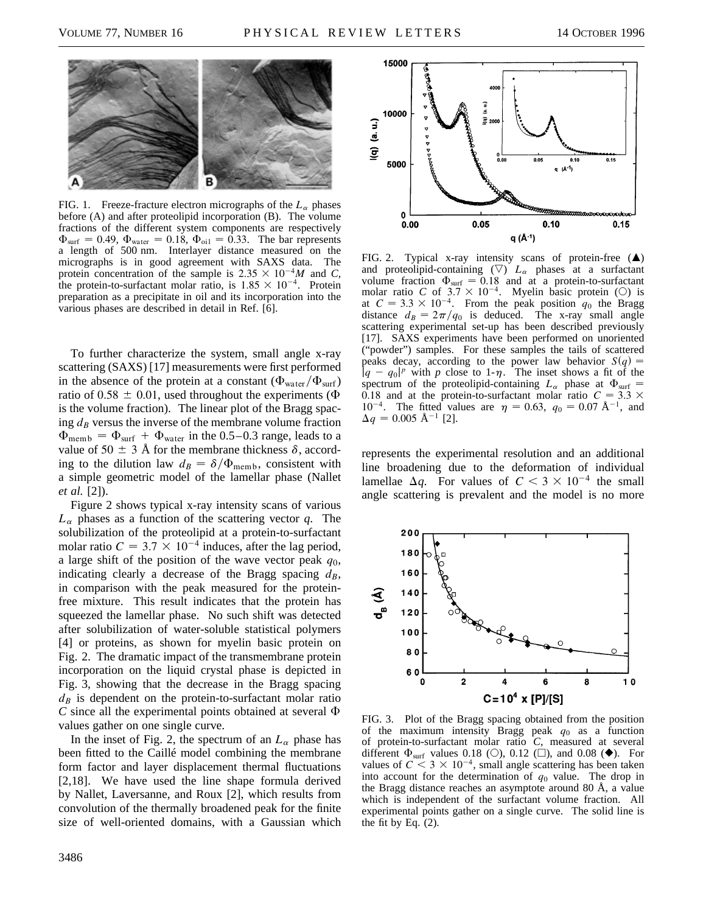

FIG. 1. Freeze-fracture electron micrographs of the  $L_{\alpha}$  phases before (A) and after proteolipid incorporation (B). The volume fractions of the different system components are respectively  $\Phi_{\text{surf}} = 0.49, \Phi_{\text{water}} = 0.18, \Phi_{\text{oil}} = 0.33$ . The bar represents a length of 500 nm. Interlayer distance measured on the micrographs is in good agreement with SAXS data. The protein concentration of the sample is  $2.35 \times 10^{-4}$ *M* and *C*, the protein-to-surfactant molar ratio, is  $1.85 \times 10^{-4}$ . Protein preparation as a precipitate in oil and its incorporation into the various phases are described in detail in Ref. [6].

To further characterize the system, small angle x-ray scattering (SAXS) [17] measurements were first performed in the absence of the protein at a constant  $(\Phi_{\text{water}}/\Phi_{\text{surf}})$ ratio of 0.58  $\pm$  0.01, used throughout the experiments ( $\Phi$ is the volume fraction). The linear plot of the Bragg spacing  $d_B$  versus the inverse of the membrane volume fraction  $\Phi_{\text{memb}} = \Phi_{\text{surf}} + \Phi_{\text{water}}$  in the 0.5–0.3 range, leads to a value of 50  $\pm$  3 Å for the membrane thickness  $\delta$ , according to the dilution law  $d_B = \delta/\Phi_{\text{memb}}$ , consistent with a simple geometric model of the lamellar phase (Nallet *et al.* [2]).

Figure 2 shows typical x-ray intensity scans of various  $L_{\alpha}$  phases as a function of the scattering vector  $q$ . The solubilization of the proteolipid at a protein-to-surfactant molar ratio  $C = 3.7 \times 10^{-4}$  induces, after the lag period, a large shift of the position of the wave vector peak *q*0, indicating clearly a decrease of the Bragg spacing  $d_B$ , in comparison with the peak measured for the proteinfree mixture. This result indicates that the protein has squeezed the lamellar phase. No such shift was detected after solubilization of water-soluble statistical polymers [4] or proteins, as shown for myelin basic protein on Fig. 2. The dramatic impact of the transmembrane protein incorporation on the liquid crystal phase is depicted in Fig. 3, showing that the decrease in the Bragg spacing  $d_B$  is dependent on the protein-to-surfactant molar ratio  $C$  since all the experimental points obtained at several  $\Phi$ values gather on one single curve.

In the inset of Fig. 2, the spectrum of an  $L_{\alpha}$  phase has been fitted to the Caillé model combining the membrane form factor and layer displacement thermal fluctuations [2,18]. We have used the line shape formula derived by Nallet, Laversanne, and Roux [2], which results from convolution of the thermally broadened peak for the finite size of well-oriented domains, with a Gaussian which



FIG. 2. Typical x-ray intensity scans of protein-free  $(\triangle)$ and proteolipid-containing  $(\nabla)$   $L_{\alpha}$  phases at a surfactant volume fraction  $\Phi_{\text{surf}} = 0.18$  and at a protein-to-surfactant molar ratio *C* of  $3.7 \times 10^{-4}$ . Myelin basic protein (O) is at  $C = 3.3 \times 10^{-4}$ . From the peak position  $q_0$  the Bragg distance  $d_B = 2\pi/q_0$  is deduced. The x-ray small angle scattering experimental set-up has been described previously [17]. SAXS experiments have been performed on unoriented ("powder") samples. For these samples the tails of scattered peaks decay, according to the power law behavior  $S(q)$  =  $\int q - q_0|^p$  with p close to 1- $\eta$ . The inset shows a fit of the spectrum of the proteolipid-containing  $L_{\alpha}$  phase at  $\Phi_{\text{surf}} =$ 0.18 and at the protein-to-surfactant molar ratio  $C = 3.3 \times$ 10<sup>-4</sup>. The fitted values are  $\eta = 0.63$ ,  $q_0 = 0.07 \text{ Å}^{-1}$ , and  $\Delta q = 0.005 \text{ Å}^{-1}$  [2].

represents the experimental resolution and an additional line broadening due to the deformation of individual lamellae  $\Delta q$ . For values of  $C < 3 \times 10^{-4}$  the small angle scattering is prevalent and the model is no more



FIG. 3. Plot of the Bragg spacing obtained from the position of the maximum intensity Bragg peak  $q_0$  as a function of protein-to-surfactant molar ratio *C*, measured at several different  $\Phi_{\text{surf}}$  values 0.18 (O), 0.12 ( $\square$ ), and 0.08 ( $\blacklozenge$ ). For values of  $C < 3 \times 10^{-4}$ , small angle scattering has been taken into account for the determination of  $q_0$  value. The drop in the Bragg distance reaches an asymptote around 80 Å, a value which is independent of the surfactant volume fraction. All experimental points gather on a single curve. The solid line is the fit by Eq.  $(2)$ .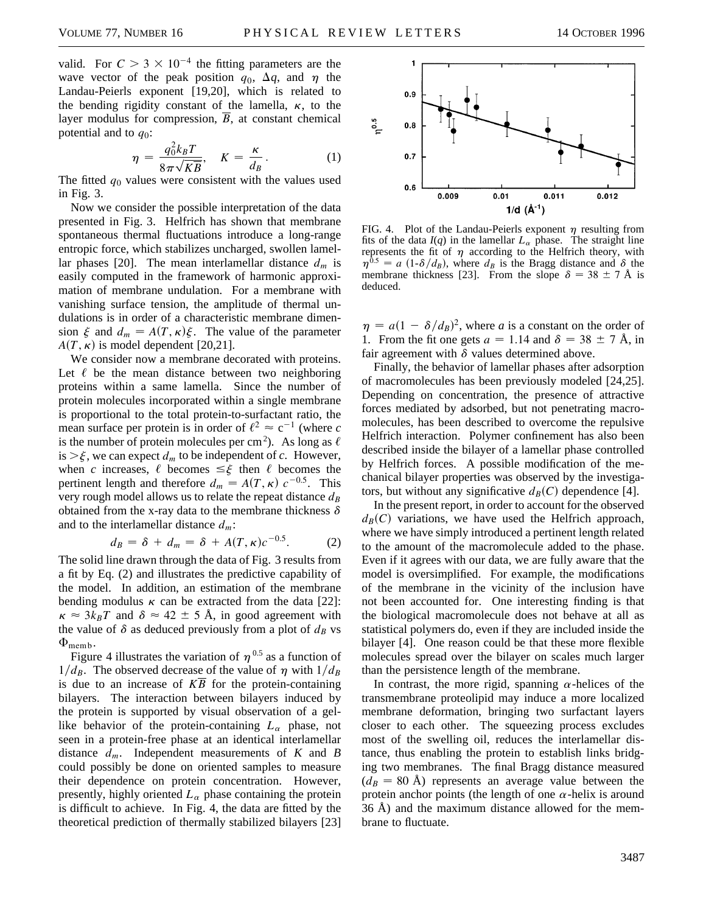valid. For  $C > 3 \times 10^{-4}$  the fitting parameters are the wave vector of the peak position  $q_0$ ,  $\Delta q$ , and  $\eta$  the Landau-Peierls exponent [19,20], which is related to the bending rigidity constant of the lamella,  $\kappa$ , to the layer modulus for compression, *B*, at constant chemical potential and to  $q_0$ :

$$
\eta = \frac{q_0^2 k_B T}{8\pi\sqrt{K\overline{B}}}, \quad K = \frac{\kappa}{d_B}.
$$
 (1)

The fitted  $q_0$  values were consistent with the values used in Fig. 3.

Now we consider the possible interpretation of the data presented in Fig. 3. Helfrich has shown that membrane spontaneous thermal fluctuations introduce a long-range entropic force, which stabilizes uncharged, swollen lamellar phases [20]. The mean interlamellar distance  $d_m$  is easily computed in the framework of harmonic approximation of membrane undulation. For a membrane with vanishing surface tension, the amplitude of thermal undulations is in order of a characteristic membrane dimension  $\xi$  and  $d_m = A(T, \kappa)\xi$ . The value of the parameter  $A(T, \kappa)$  is model dependent [20,21].

We consider now a membrane decorated with proteins. Let  $\ell$  be the mean distance between two neighboring proteins within a same lamella. Since the number of protein molecules incorporated within a single membrane is proportional to the total protein-to-surfactant ratio, the mean surface per protein is in order of  $\ell^2 \approx c^{-1}$  (where *c* is the number of protein molecules per cm<sup>2</sup>). As long as  $\ell$ is  $>\xi$ , we can expect  $d_m$  to be independent of *c*. However, when *c* increases,  $\ell$  becomes  $\leq \xi$  then  $\ell$  becomes the pertinent length and therefore  $d_m = A(T, \kappa) c^{-0.5}$ . This very rough model allows us to relate the repeat distance  $d_B$ obtained from the x-ray data to the membrane thickness  $\delta$ and to the interlamellar distance *dm*:

$$
d_B = \delta + d_m = \delta + A(T, \kappa) c^{-0.5}.
$$
 (2)

The solid line drawn through the data of Fig. 3 results from a fit by Eq. (2) and illustrates the predictive capability of the model. In addition, an estimation of the membrane bending modulus  $\kappa$  can be extracted from the data [22]:  $\kappa \approx 3k_BT$  and  $\delta \approx 42 \pm 5$  Å, in good agreement with the value of  $\delta$  as deduced previously from a plot of  $d_B$  vs  $\Phi_{\text{memb}}$ .

Figure 4 illustrates the variation of  $\eta^{0.5}$  as a function of  $1/d_B$ . The observed decrease of the value of  $\eta$  with  $1/d_B$ is due to an increase of  $K\overline{B}$  for the protein-containing bilayers. The interaction between bilayers induced by the protein is supported by visual observation of a gellike behavior of the protein-containing  $L_{\alpha}$  phase, not seen in a protein-free phase at an identical interlamellar distance *dm*. Independent measurements of *K* and *B* could possibly be done on oriented samples to measure their dependence on protein concentration. However, presently, highly oriented  $L_{\alpha}$  phase containing the protein is difficult to achieve. In Fig. 4, the data are fitted by the theoretical prediction of thermally stabilized bilayers [23]



FIG. 4. Plot of the Landau-Peierls exponent  $\eta$  resulting from fits of the data  $I(q)$  in the lamellar  $L_{\alpha}$  phase. The straight line represents the fit of  $\eta$  according to the Helfrich theory, with  $\eta^{0.5}$  = a (1- $\delta/d_B$ ), where  $d_B$  is the Bragg distance and  $\delta$ <sub>s</sub> the membrane thickness [23]. From the slope  $\delta = 38 \pm 7$  Å is deduced.

 $\eta = a(1 - \delta/d_B)^2$ , where *a* is a constant on the order of 1. From the fit one gets  $a = 1.14$  and  $\delta = 38 \pm 7$  Å, in fair agreement with  $\delta$  values determined above.

Finally, the behavior of lamellar phases after adsorption of macromolecules has been previously modeled [24,25]. Depending on concentration, the presence of attractive forces mediated by adsorbed, but not penetrating macromolecules, has been described to overcome the repulsive Helfrich interaction. Polymer confinement has also been described inside the bilayer of a lamellar phase controlled by Helfrich forces. A possible modification of the mechanical bilayer properties was observed by the investigators, but without any significative  $d_B(C)$  dependence [4].

In the present report, in order to account for the observed  $d_B(C)$  variations, we have used the Helfrich approach, where we have simply introduced a pertinent length related to the amount of the macromolecule added to the phase. Even if it agrees with our data, we are fully aware that the model is oversimplified. For example, the modifications of the membrane in the vicinity of the inclusion have not been accounted for. One interesting finding is that the biological macromolecule does not behave at all as statistical polymers do, even if they are included inside the bilayer [4]. One reason could be that these more flexible molecules spread over the bilayer on scales much larger than the persistence length of the membrane.

In contrast, the more rigid, spanning  $\alpha$ -helices of the transmembrane proteolipid may induce a more localized membrane deformation, bringing two surfactant layers closer to each other. The squeezing process excludes most of the swelling oil, reduces the interlamellar distance, thus enabling the protein to establish links bridging two membranes. The final Bragg distance measured  $(d_B = 80 \text{ Å})$  represents an average value between the protein anchor points (the length of one  $\alpha$ -helix is around 36 Å) and the maximum distance allowed for the membrane to fluctuate.